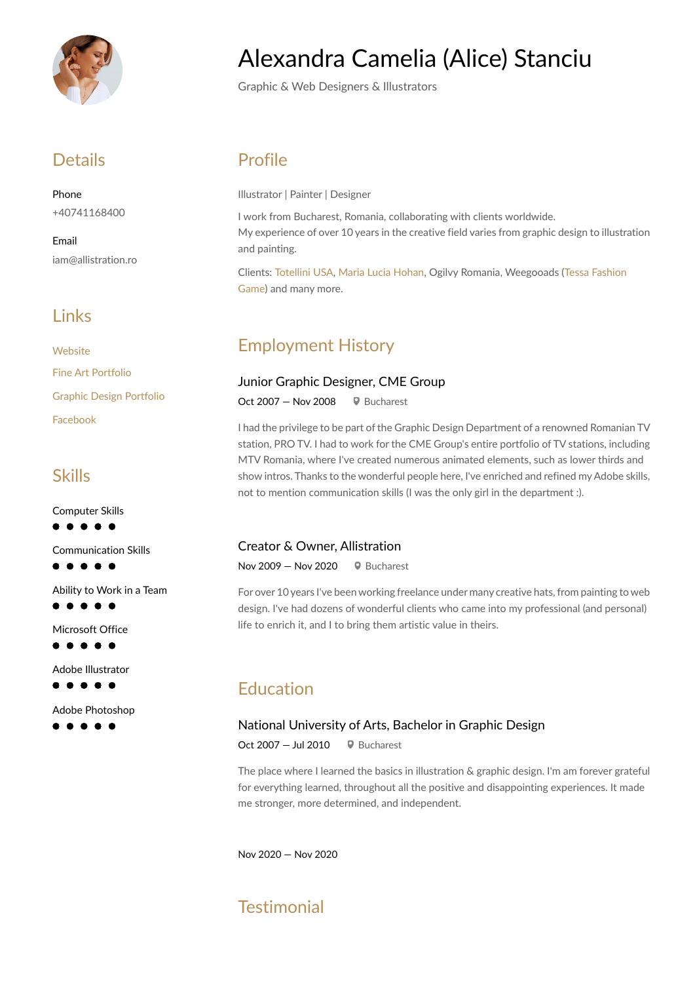

### **Details**

Phone +40741168400

Email iam@allistration.ro

### **Links**

**[Website](http://www.allistration.ro)** [Fine Art Portfolio](https://allistration.ro/index.php/gallery/) [Graphic Design Portfolio](https://www.behance.net/alexandstanciu6) [Facebook](https://www.facebook.com/the.world.of.alice)

### Skills

Computer Skills  $\bullet$   $\bullet$  $\bullet$   $\bullet$ 

Communication Skills

 $\bullet\bullet\bullet\bullet$ 

Ability to Work in a Team  $\bullet$   $\bullet$   $\bullet$ 

Microsoft Office  $\bullet\bullet\bullet\bullet$ 

Adobe Illustrator  $\bullet\bullet\bullet\bullet$ 

Adobe Photoshop

**. . . . .** 

# Alexandra Camelia (Alice) Stanciu

Graphic & Web Designers & Illustrators

### Profile

Illustrator | Painter | Designer

I work from Bucharest, Romania, collaborating with clients worldwide. My experience of over 10 years in the creative field varies from graphic design to illustration and painting.

Clients: [Totellini USA,](https://www.totellini.com/) [Maria Lucia Hohan](https://marialuciahohan.com/), Ogilvy Romania, Weegooads ([Tessa Fashion](https://tessafashiongame.com/)  [Game](https://tessafashiongame.com/)) and many more.

# Employment History

#### Junior Graphic Designer, CME Group

Oct 2007 – Nov 2008  $\bigcirc$  Bucharest

I had the privilege to be part of the Graphic Design Department of a renowned Romanian TV station, PRO TV. I had to work for the CME Group's entire portfolio of TV stations, including MTV Romania, where I've created numerous animated elements, such as lower thirds and show intros. Thanks to the wonderful people here, I've enriched and refined my Adobe skills, not to mention communication skills (I was the only girl in the department :).

#### Creator & Owner, Allistration

Nov 2009 – Nov 2020  $\bigcirc$  Bucharest

For over 10 years I've been working freelance under many creative hats, from painting to web design. I've had dozens of wonderful clients who came into my professional (and personal) life to enrich it, and I to bring them artistic value in theirs.

### Education

#### National University of Arts, Bachelor in Graphic Design

Oct 2007  $-$  Jul 2010  $\bullet$  Bucharest

The place where I learned the basics in illustration & graphic design. I'm am forever grateful for everything learned, throughout all the positive and disappointing experiences. It made me stronger, more determined, and independent.

Nov 2020 — Nov 2020

# **Testimonial**